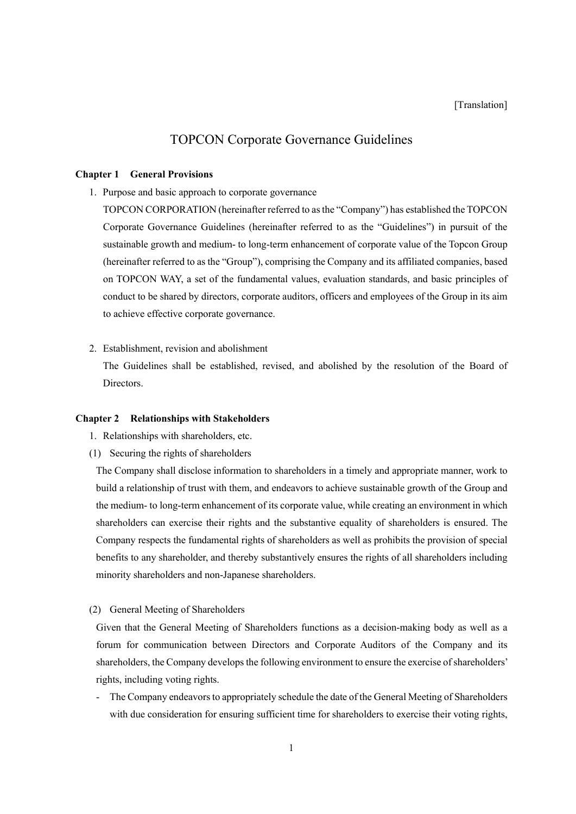### [Translation]

# TOPCON Corporate Governance Guidelines

#### **Chapter 1 General Provisions**

1. Purpose and basic approach to corporate governance

TOPCON CORPORATION (hereinafter referred to as the "Company") has established the TOPCON Corporate Governance Guidelines (hereinafter referred to as the "Guidelines") in pursuit of the sustainable growth and medium- to long-term enhancement of corporate value of the Topcon Group (hereinafter referred to as the "Group"), comprising the Company and its affiliated companies, based on TOPCON WAY, a set of the fundamental values, evaluation standards, and basic principles of conduct to be shared by directors, corporate auditors, officers and employees of the Group in its aim to achieve effective corporate governance.

2. Establishment, revision and abolishment

The Guidelines shall be established, revised, and abolished by the resolution of the Board of Directors.

#### **Chapter 2 Relationships with Stakeholders**

- 1. Relationships with shareholders, etc.
- (1) Securing the rights of shareholders

The Company shall disclose information to shareholders in a timely and appropriate manner, work to build a relationship of trust with them, and endeavors to achieve sustainable growth of the Group and the medium- to long-term enhancement of its corporate value, while creating an environment in which shareholders can exercise their rights and the substantive equality of shareholders is ensured. The Company respects the fundamental rights of shareholders as well as prohibits the provision of special benefits to any shareholder, and thereby substantively ensures the rights of all shareholders including minority shareholders and non-Japanese shareholders.

(2) General Meeting of Shareholders

Given that the General Meeting of Shareholders functions as a decision-making body as well as a forum for communication between Directors and Corporate Auditors of the Company and its shareholders, the Company develops the following environment to ensure the exercise of shareholders' rights, including voting rights.

- The Company endeavors to appropriately schedule the date of the General Meeting of Shareholders with due consideration for ensuring sufficient time for shareholders to exercise their voting rights,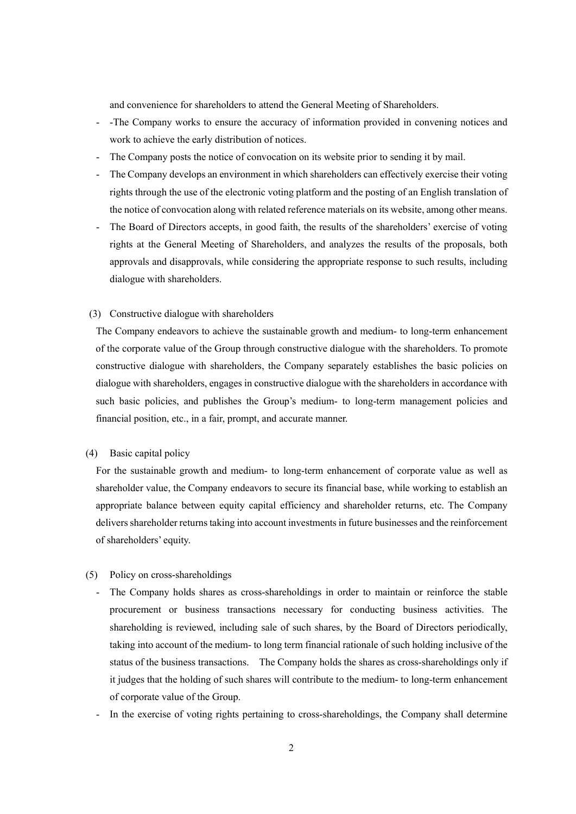and convenience for shareholders to attend the General Meeting of Shareholders.

- -The Company works to ensure the accuracy of information provided in convening notices and work to achieve the early distribution of notices.
- The Company posts the notice of convocation on its website prior to sending it by mail.
- The Company develops an environment in which shareholders can effectively exercise their voting rights through the use of the electronic voting platform and the posting of an English translation of the notice of convocation along with related reference materials on its website, among other means.
- The Board of Directors accepts, in good faith, the results of the shareholders' exercise of voting rights at the General Meeting of Shareholders, and analyzes the results of the proposals, both approvals and disapprovals, while considering the appropriate response to such results, including dialogue with shareholders.
- (3) Constructive dialogue with shareholders

The Company endeavors to achieve the sustainable growth and medium- to long-term enhancement of the corporate value of the Group through constructive dialogue with the shareholders. To promote constructive dialogue with shareholders, the Company separately establishes the basic policies on dialogue with shareholders, engages in constructive dialogue with the shareholders in accordance with such basic policies, and publishes the Group's medium- to long-term management policies and financial position, etc., in a fair, prompt, and accurate manner.

## (4) Basic capital policy

For the sustainable growth and medium- to long-term enhancement of corporate value as well as shareholder value, the Company endeavors to secure its financial base, while working to establish an appropriate balance between equity capital efficiency and shareholder returns, etc. The Company delivers shareholder returns taking into account investments in future businesses and the reinforcement of shareholders' equity.

### (5) Policy on cross-shareholdings

- The Company holds shares as cross-shareholdings in order to maintain or reinforce the stable procurement or business transactions necessary for conducting business activities. The shareholding is reviewed, including sale of such shares, by the Board of Directors periodically, taking into account of the medium- to long term financial rationale of such holding inclusive of the status of the business transactions. The Company holds the shares as cross-shareholdings only if it judges that the holding of such shares will contribute to the medium- to long-term enhancement of corporate value of the Group.
- In the exercise of voting rights pertaining to cross-shareholdings, the Company shall determine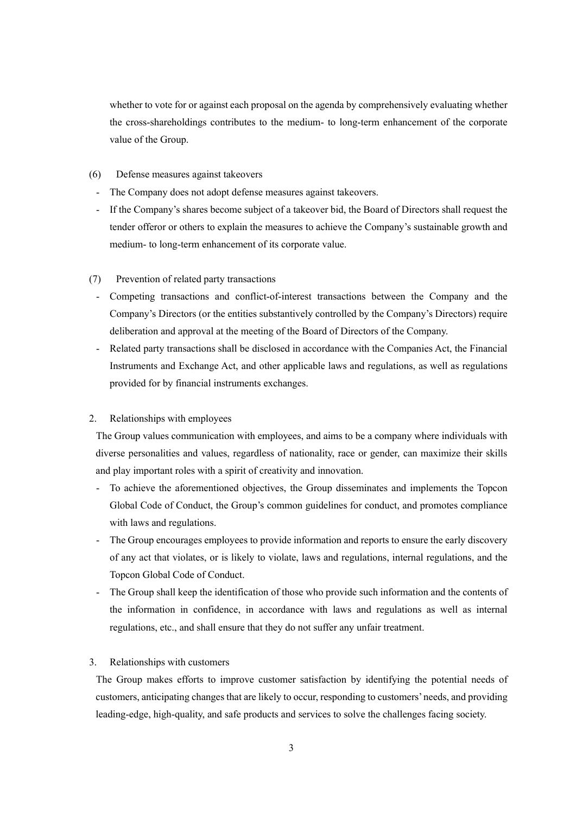whether to vote for or against each proposal on the agenda by comprehensively evaluating whether the cross-shareholdings contributes to the medium- to long-term enhancement of the corporate value of the Group.

- (6) Defense measures against takeovers
- The Company does not adopt defense measures against takeovers.
- If the Company's shares become subject of a takeover bid, the Board of Directors shall request the tender offeror or others to explain the measures to achieve the Company's sustainable growth and medium- to long-term enhancement of its corporate value.
- (7) Prevention of related party transactions
	- Competing transactions and conflict-of-interest transactions between the Company and the Company's Directors (or the entities substantively controlled by the Company's Directors) require deliberation and approval at the meeting of the Board of Directors of the Company.
	- Related party transactions shall be disclosed in accordance with the Companies Act, the Financial Instruments and Exchange Act, and other applicable laws and regulations, as well as regulations provided for by financial instruments exchanges.

### 2. Relationships with employees

The Group values communication with employees, and aims to be a company where individuals with diverse personalities and values, regardless of nationality, race or gender, can maximize their skills and play important roles with a spirit of creativity and innovation.

- To achieve the aforementioned objectives, the Group disseminates and implements the Topcon Global Code of Conduct, the Group's common guidelines for conduct, and promotes compliance with laws and regulations.
- The Group encourages employees to provide information and reports to ensure the early discovery of any act that violates, or is likely to violate, laws and regulations, internal regulations, and the Topcon Global Code of Conduct.
- The Group shall keep the identification of those who provide such information and the contents of the information in confidence, in accordance with laws and regulations as well as internal regulations, etc., and shall ensure that they do not suffer any unfair treatment.

## 3. Relationships with customers

The Group makes efforts to improve customer satisfaction by identifying the potential needs of customers, anticipating changes that are likely to occur, responding to customers' needs, and providing leading-edge, high-quality, and safe products and services to solve the challenges facing society.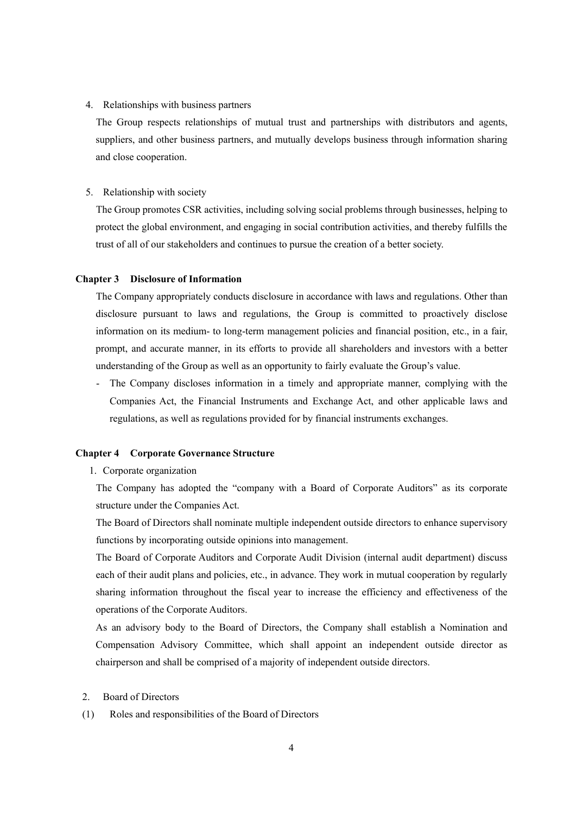#### 4. Relationships with business partners

The Group respects relationships of mutual trust and partnerships with distributors and agents, suppliers, and other business partners, and mutually develops business through information sharing and close cooperation.

#### 5. Relationship with society

The Group promotes CSR activities, including solving social problems through businesses, helping to protect the global environment, and engaging in social contribution activities, and thereby fulfills the trust of all of our stakeholders and continues to pursue the creation of a better society.

#### **Chapter 3 Disclosure of Information**

The Company appropriately conducts disclosure in accordance with laws and regulations. Other than disclosure pursuant to laws and regulations, the Group is committed to proactively disclose information on its medium- to long-term management policies and financial position, etc., in a fair, prompt, and accurate manner, in its efforts to provide all shareholders and investors with a better understanding of the Group as well as an opportunity to fairly evaluate the Group's value.

- The Company discloses information in a timely and appropriate manner, complying with the Companies Act, the Financial Instruments and Exchange Act, and other applicable laws and regulations, as well as regulations provided for by financial instruments exchanges.

#### **Chapter 4 Corporate Governance Structure**

1. Corporate organization

The Company has adopted the "company with a Board of Corporate Auditors" as its corporate structure under the Companies Act.

The Board of Directors shall nominate multiple independent outside directors to enhance supervisory functions by incorporating outside opinions into management.

The Board of Corporate Auditors and Corporate Audit Division (internal audit department) discuss each of their audit plans and policies, etc., in advance. They work in mutual cooperation by regularly sharing information throughout the fiscal year to increase the efficiency and effectiveness of the operations of the Corporate Auditors.

As an advisory body to the Board of Directors, the Company shall establish a Nomination and Compensation Advisory Committee, which shall appoint an independent outside director as chairperson and shall be comprised of a majority of independent outside directors.

- 2. Board of Directors
- (1) Roles and responsibilities of the Board of Directors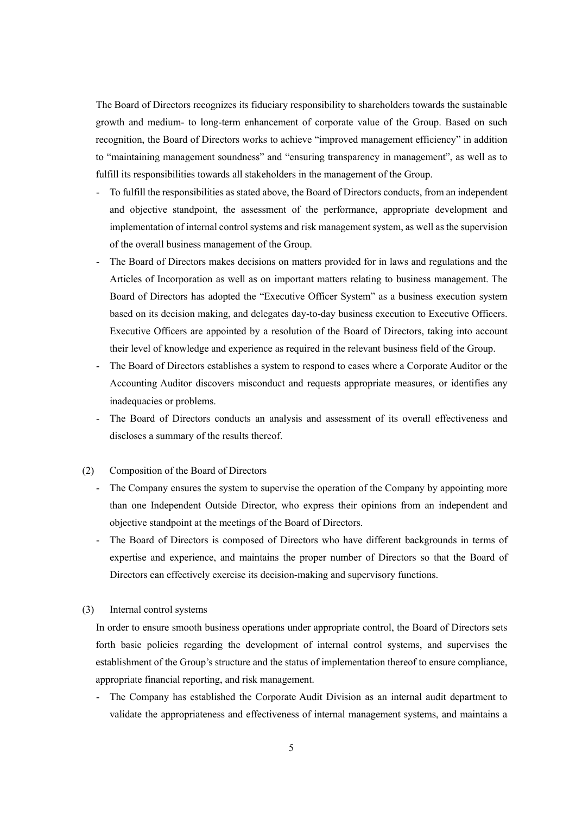The Board of Directors recognizes its fiduciary responsibility to shareholders towards the sustainable growth and medium- to long-term enhancement of corporate value of the Group. Based on such recognition, the Board of Directors works to achieve "improved management efficiency" in addition to "maintaining management soundness" and "ensuring transparency in management", as well as to fulfill its responsibilities towards all stakeholders in the management of the Group.

- To fulfill the responsibilities as stated above, the Board of Directors conducts, from an independent and objective standpoint, the assessment of the performance, appropriate development and implementation of internal control systems and risk management system, as well as the supervision of the overall business management of the Group.
- The Board of Directors makes decisions on matters provided for in laws and regulations and the Articles of Incorporation as well as on important matters relating to business management. The Board of Directors has adopted the "Executive Officer System" as a business execution system based on its decision making, and delegates day-to-day business execution to Executive Officers. Executive Officers are appointed by a resolution of the Board of Directors, taking into account their level of knowledge and experience as required in the relevant business field of the Group.
- The Board of Directors establishes a system to respond to cases where a Corporate Auditor or the Accounting Auditor discovers misconduct and requests appropriate measures, or identifies any inadequacies or problems.
- The Board of Directors conducts an analysis and assessment of its overall effectiveness and discloses a summary of the results thereof.

### (2) Composition of the Board of Directors

- The Company ensures the system to supervise the operation of the Company by appointing more than one Independent Outside Director, who express their opinions from an independent and objective standpoint at the meetings of the Board of Directors.
- The Board of Directors is composed of Directors who have different backgrounds in terms of expertise and experience, and maintains the proper number of Directors so that the Board of Directors can effectively exercise its decision-making and supervisory functions.

### (3) Internal control systems

In order to ensure smooth business operations under appropriate control, the Board of Directors sets forth basic policies regarding the development of internal control systems, and supervises the establishment of the Group's structure and the status of implementation thereof to ensure compliance, appropriate financial reporting, and risk management.

- The Company has established the Corporate Audit Division as an internal audit department to validate the appropriateness and effectiveness of internal management systems, and maintains a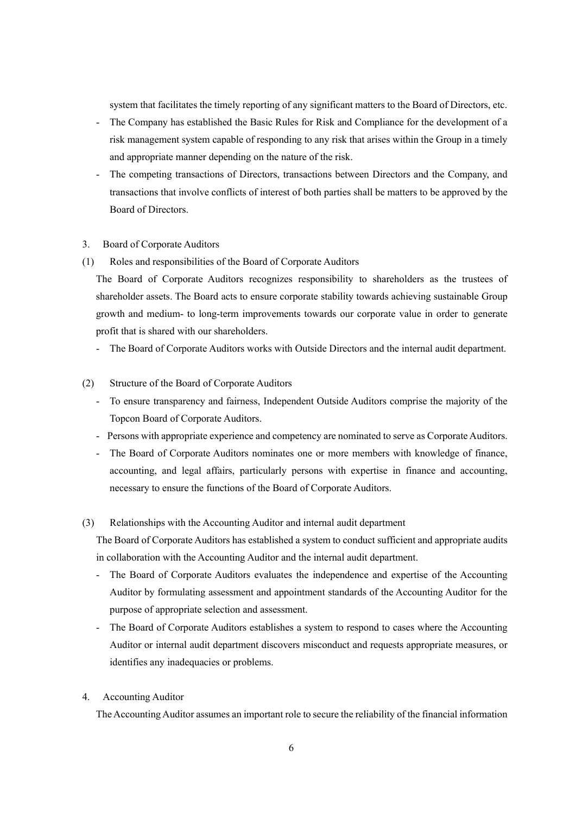system that facilitates the timely reporting of any significant matters to the Board of Directors, etc.

- The Company has established the Basic Rules for Risk and Compliance for the development of a risk management system capable of responding to any risk that arises within the Group in a timely and appropriate manner depending on the nature of the risk.
- The competing transactions of Directors, transactions between Directors and the Company, and transactions that involve conflicts of interest of both parties shall be matters to be approved by the Board of Directors.

#### 3. Board of Corporate Auditors

(1) Roles and responsibilities of the Board of Corporate Auditors

The Board of Corporate Auditors recognizes responsibility to shareholders as the trustees of shareholder assets. The Board acts to ensure corporate stability towards achieving sustainable Group growth and medium- to long-term improvements towards our corporate value in order to generate profit that is shared with our shareholders.

- The Board of Corporate Auditors works with Outside Directors and the internal audit department.
- (2) Structure of the Board of Corporate Auditors
	- To ensure transparency and fairness, Independent Outside Auditors comprise the majority of the Topcon Board of Corporate Auditors.
	- Persons with appropriate experience and competency are nominated to serve as Corporate Auditors.
	- The Board of Corporate Auditors nominates one or more members with knowledge of finance, accounting, and legal affairs, particularly persons with expertise in finance and accounting, necessary to ensure the functions of the Board of Corporate Auditors.
- (3) Relationships with the Accounting Auditor and internal audit department

The Board of Corporate Auditors has established a system to conduct sufficient and appropriate audits in collaboration with the Accounting Auditor and the internal audit department.

- The Board of Corporate Auditors evaluates the independence and expertise of the Accounting Auditor by formulating assessment and appointment standards of the Accounting Auditor for the purpose of appropriate selection and assessment.
- The Board of Corporate Auditors establishes a system to respond to cases where the Accounting Auditor or internal audit department discovers misconduct and requests appropriate measures, or identifies any inadequacies or problems.
- 4. Accounting Auditor

The Accounting Auditor assumes an important role to secure the reliability of the financial information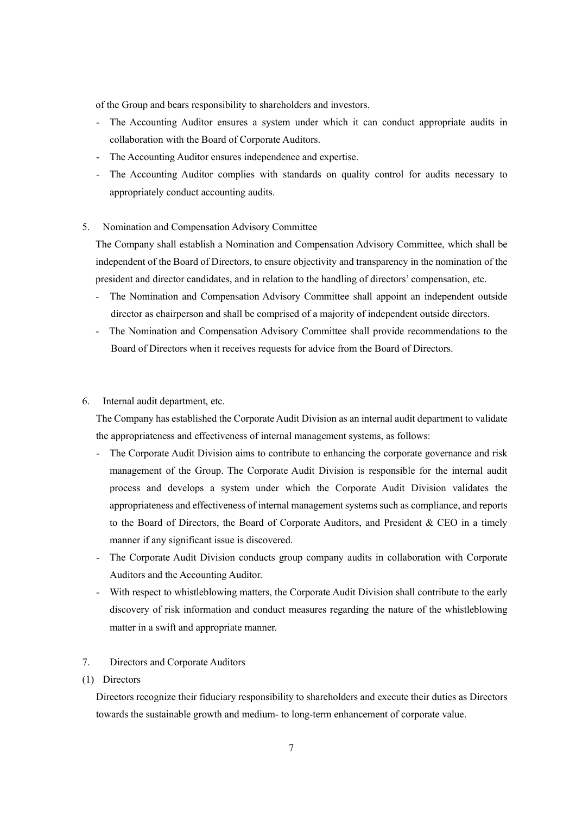of the Group and bears responsibility to shareholders and investors.

- The Accounting Auditor ensures a system under which it can conduct appropriate audits in collaboration with the Board of Corporate Auditors.
- The Accounting Auditor ensures independence and expertise.
- The Accounting Auditor complies with standards on quality control for audits necessary to appropriately conduct accounting audits.

### 5. Nomination and Compensation Advisory Committee

The Company shall establish a Nomination and Compensation Advisory Committee, which shall be independent of the Board of Directors, to ensure objectivity and transparency in the nomination of the president and director candidates, and in relation to the handling of directors' compensation, etc.

- The Nomination and Compensation Advisory Committee shall appoint an independent outside director as chairperson and shall be comprised of a majority of independent outside directors.
- The Nomination and Compensation Advisory Committee shall provide recommendations to the Board of Directors when it receives requests for advice from the Board of Directors.
- 6. Internal audit department, etc.

The Company has established the Corporate Audit Division as an internal audit department to validate the appropriateness and effectiveness of internal management systems, as follows:

- The Corporate Audit Division aims to contribute to enhancing the corporate governance and risk management of the Group. The Corporate Audit Division is responsible for the internal audit process and develops a system under which the Corporate Audit Division validates the appropriateness and effectiveness of internal management systems such as compliance, and reports to the Board of Directors, the Board of Corporate Auditors, and President & CEO in a timely manner if any significant issue is discovered.
- The Corporate Audit Division conducts group company audits in collaboration with Corporate Auditors and the Accounting Auditor.
- With respect to whistleblowing matters, the Corporate Audit Division shall contribute to the early discovery of risk information and conduct measures regarding the nature of the whistleblowing matter in a swift and appropriate manner.

## 7. Directors and Corporate Auditors

### (1) Directors

Directors recognize their fiduciary responsibility to shareholders and execute their duties as Directors towards the sustainable growth and medium- to long-term enhancement of corporate value.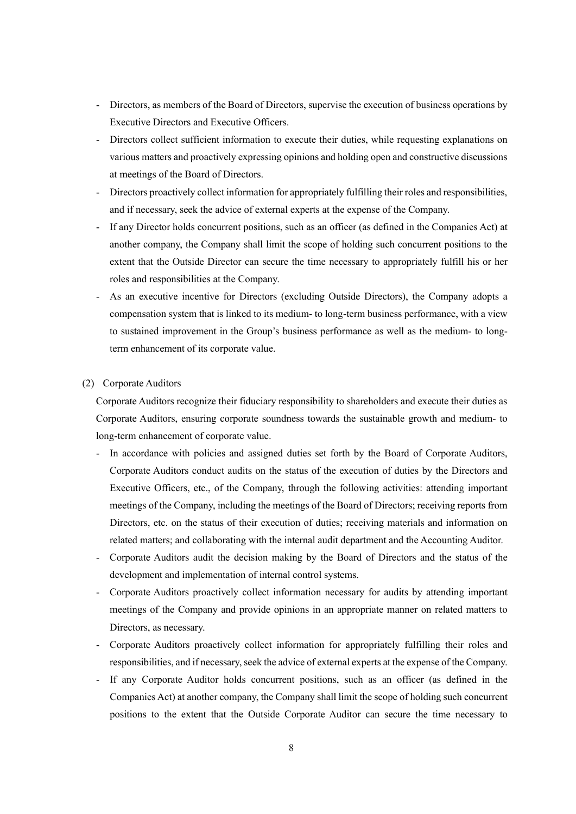- Directors, as members of the Board of Directors, supervise the execution of business operations by Executive Directors and Executive Officers.
- Directors collect sufficient information to execute their duties, while requesting explanations on various matters and proactively expressing opinions and holding open and constructive discussions at meetings of the Board of Directors.
- Directors proactively collect information for appropriately fulfilling their roles and responsibilities, and if necessary, seek the advice of external experts at the expense of the Company.
- If any Director holds concurrent positions, such as an officer (as defined in the Companies Act) at another company, the Company shall limit the scope of holding such concurrent positions to the extent that the Outside Director can secure the time necessary to appropriately fulfill his or her roles and responsibilities at the Company.
- As an executive incentive for Directors (excluding Outside Directors), the Company adopts a compensation system that is linked to its medium- to long-term business performance, with a view to sustained improvement in the Group's business performance as well as the medium- to longterm enhancement of its corporate value.

### (2) Corporate Auditors

Corporate Auditors recognize their fiduciary responsibility to shareholders and execute their duties as Corporate Auditors, ensuring corporate soundness towards the sustainable growth and medium- to long-term enhancement of corporate value.

- In accordance with policies and assigned duties set forth by the Board of Corporate Auditors, Corporate Auditors conduct audits on the status of the execution of duties by the Directors and Executive Officers, etc., of the Company, through the following activities: attending important meetings of the Company, including the meetings of the Board of Directors; receiving reports from Directors, etc. on the status of their execution of duties; receiving materials and information on related matters; and collaborating with the internal audit department and the Accounting Auditor.
- Corporate Auditors audit the decision making by the Board of Directors and the status of the development and implementation of internal control systems.
- Corporate Auditors proactively collect information necessary for audits by attending important meetings of the Company and provide opinions in an appropriate manner on related matters to Directors, as necessary.
- Corporate Auditors proactively collect information for appropriately fulfilling their roles and responsibilities, and if necessary, seek the advice of external experts at the expense of the Company.
- If any Corporate Auditor holds concurrent positions, such as an officer (as defined in the Companies Act) at another company, the Company shall limit the scope of holding such concurrent positions to the extent that the Outside Corporate Auditor can secure the time necessary to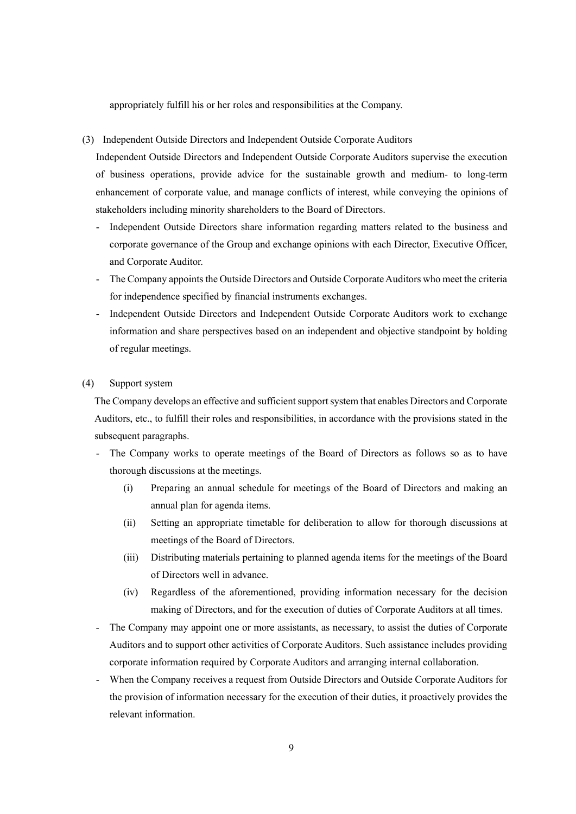appropriately fulfill his or her roles and responsibilities at the Company.

### (3) Independent Outside Directors and Independent Outside Corporate Auditors

Independent Outside Directors and Independent Outside Corporate Auditors supervise the execution of business operations, provide advice for the sustainable growth and medium- to long-term enhancement of corporate value, and manage conflicts of interest, while conveying the opinions of stakeholders including minority shareholders to the Board of Directors.

- Independent Outside Directors share information regarding matters related to the business and corporate governance of the Group and exchange opinions with each Director, Executive Officer, and Corporate Auditor.
- The Company appoints the Outside Directors and Outside Corporate Auditors who meet the criteria for independence specified by financial instruments exchanges.
- Independent Outside Directors and Independent Outside Corporate Auditors work to exchange information and share perspectives based on an independent and objective standpoint by holding of regular meetings.

#### (4) Support system

The Company develops an effective and sufficient support system that enables Directors and Corporate Auditors, etc., to fulfill their roles and responsibilities, in accordance with the provisions stated in the subsequent paragraphs.

- The Company works to operate meetings of the Board of Directors as follows so as to have thorough discussions at the meetings.
	- (i) Preparing an annual schedule for meetings of the Board of Directors and making an annual plan for agenda items.
	- (ii) Setting an appropriate timetable for deliberation to allow for thorough discussions at meetings of the Board of Directors.
	- (iii) Distributing materials pertaining to planned agenda items for the meetings of the Board of Directors well in advance.
	- (iv) Regardless of the aforementioned, providing information necessary for the decision making of Directors, and for the execution of duties of Corporate Auditors at all times.
- The Company may appoint one or more assistants, as necessary, to assist the duties of Corporate Auditors and to support other activities of Corporate Auditors. Such assistance includes providing corporate information required by Corporate Auditors and arranging internal collaboration.
- When the Company receives a request from Outside Directors and Outside Corporate Auditors for the provision of information necessary for the execution of their duties, it proactively provides the relevant information.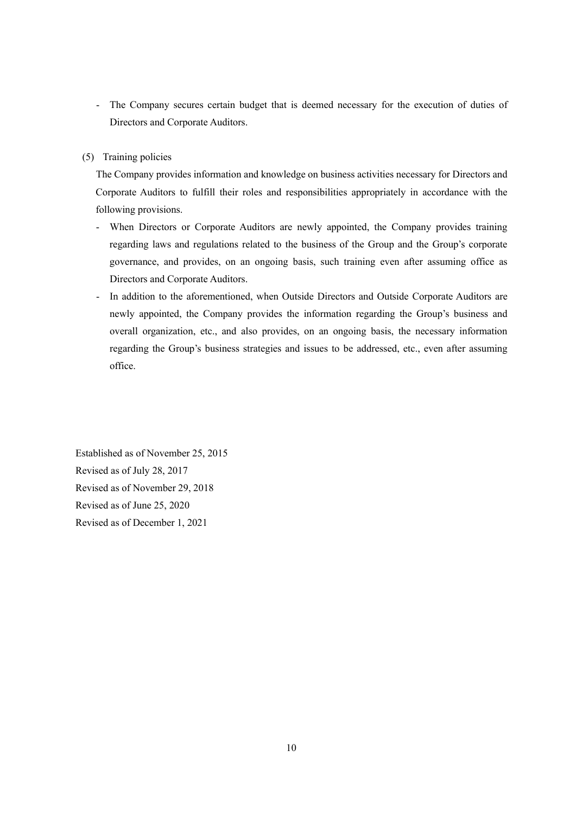- The Company secures certain budget that is deemed necessary for the execution of duties of Directors and Corporate Auditors.
- (5) Training policies

The Company provides information and knowledge on business activities necessary for Directors and Corporate Auditors to fulfill their roles and responsibilities appropriately in accordance with the following provisions.

- When Directors or Corporate Auditors are newly appointed, the Company provides training regarding laws and regulations related to the business of the Group and the Group's corporate governance, and provides, on an ongoing basis, such training even after assuming office as Directors and Corporate Auditors.
- In addition to the aforementioned, when Outside Directors and Outside Corporate Auditors are newly appointed, the Company provides the information regarding the Group's business and overall organization, etc., and also provides, on an ongoing basis, the necessary information regarding the Group's business strategies and issues to be addressed, etc., even after assuming office.

Established as of November 25, 2015 Revised as of July 28, 2017 Revised as of November 29, 2018 Revised as of June 25, 2020 Revised as of December 1, 2021